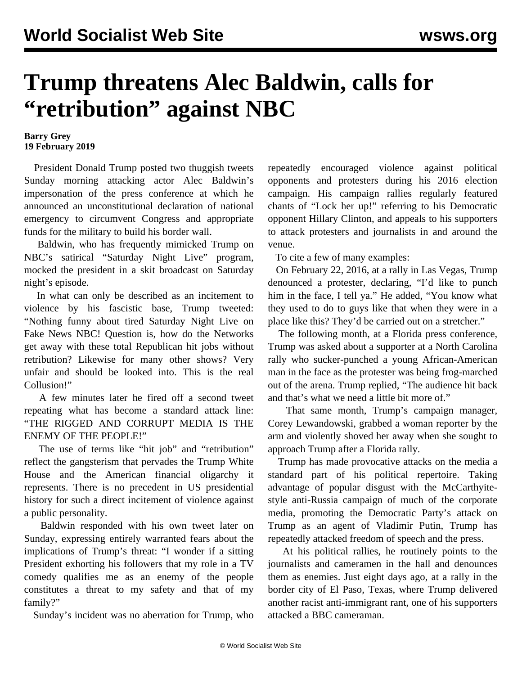## **Trump threatens Alec Baldwin, calls for "retribution" against NBC**

## **Barry Grey 19 February 2019**

 President Donald Trump posted two thuggish tweets Sunday morning attacking actor Alec Baldwin's impersonation of the press conference at which he announced an unconstitutional declaration of national emergency to circumvent Congress and appropriate funds for the military to build his border wall.

 Baldwin, who has frequently mimicked Trump on NBC's satirical "Saturday Night Live" program, mocked the president in a skit broadcast on Saturday night's episode.

 In what can only be described as an incitement to violence by his fascistic base, Trump tweeted: "Nothing funny about tired Saturday Night Live on Fake News NBC! Question is, how do the Networks get away with these total Republican hit jobs without retribution? Likewise for many other shows? Very unfair and should be looked into. This is the real Collusion!"

 A few minutes later he fired off a second tweet repeating what has become a standard attack line: "THE RIGGED AND CORRUPT MEDIA IS THE ENEMY OF THE PEOPLE!"

The use of terms like "hit job" and "retribution" reflect the gangsterism that pervades the Trump White House and the American financial oligarchy it represents. There is no precedent in US presidential history for such a direct incitement of violence against a public personality.

 Baldwin responded with his own tweet later on Sunday, expressing entirely warranted fears about the implications of Trump's threat: "I wonder if a sitting President exhorting his followers that my role in a TV comedy qualifies me as an enemy of the people constitutes a threat to my safety and that of my family?"

Sunday's incident was no aberration for Trump, who

repeatedly encouraged violence against political opponents and protesters during his 2016 election campaign. His campaign rallies regularly featured chants of "Lock her up!" referring to his Democratic opponent Hillary Clinton, and appeals to his supporters to attack protesters and journalists in and around the venue.

To cite a few of many examples:

 On February 22, 2016, at a rally in Las Vegas, Trump denounced a protester, declaring, "I'd like to punch him in the face, I tell ya." He added, "You know what they used to do to guys like that when they were in a place like this? They'd be carried out on a stretcher."

 The following month, at a Florida press conference, Trump was asked about a supporter at a North Carolina rally who sucker-punched a young African-American man in the face as the protester was being frog-marched out of the arena. Trump replied, "The audience hit back and that's what we need a little bit more of."

 That same month, Trump's campaign manager, Corey Lewandowski, grabbed a woman reporter by the arm and violently shoved her away when she sought to approach Trump after a Florida rally.

 Trump has made provocative attacks on the media a standard part of his political repertoire. Taking advantage of popular disgust with the McCarthyitestyle anti-Russia campaign of much of the corporate media, promoting the Democratic Party's attack on Trump as an agent of Vladimir Putin, Trump has repeatedly attacked freedom of speech and the press.

 At his political rallies, he routinely points to the journalists and cameramen in the hall and denounces them as enemies. Just eight days ago, at a rally in the border city of El Paso, Texas, where Trump delivered another racist anti-immigrant rant, one of his supporters attacked a BBC cameraman.